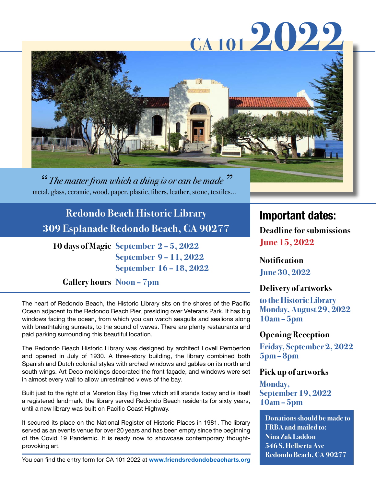# **CA 101 2022**



*" The matter from which a thing is or can be made"* metal, glass, ceramic, wood, paper, plastic, fibers, leather, stone, textiles…

**Redondo Beach Historic Library 309 Esplanade Redondo Beach, CA 90277**

**10 days of Magic September 2 – 5, 2022 September 9 – 11, 2022 September 16 – 18, 2022**

## **Gallery hours Noon – 7pm**

The heart of Redondo Beach, the Historic Library sits on the shores of the Pacific Ocean adjacent to the Redondo Beach Pier, presiding over Veterans Park. It has big windows facing the ocean, from which you can watch seagulls and sealions along with breathtaking sunsets, to the sound of waves. There are plenty restaurants and paid parking surrounding this beautiful location.

The Redondo Beach Historic Library was designed by architect Lovell Pemberton and opened in July of 1930. A three-story building, the library combined both Spanish and Dutch colonial styles with arched windows and gables on its north and south wings. Art Deco moldings decorated the front façade, and windows were set in almost every wall to allow unrestrained views of the bay.

Built just to the right of a Moreton Bay Fig tree which still stands today and is itself a registered landmark, the library served Redondo Beach residents for sixty years, until a new library was built on Pacific Coast Highway.

It secured its place on the National Register of Historic Places in 1981. The library served as an events venue for over 20 years and has been empty since the beginning of the Covid 19 Pandemic. It is ready now to showcase contemporary thoughtprovoking art.

## **Important dates:**

**Deadline for submissions June 15, 2022**

**Notification June 30, 2022**

## **Delivery of artworks**

**to the Historic Library Monday, August 29, 2022 10am – 5pm**

### **Opening Reception**

**Friday, September 2, 2022 5pm – 8pm**

### **Pick up of artworks**

**Monday, September 19, 2022 10am – 5pm**

**Donations should be made to FRBA and mailed to: Nina Zak Laddon 546 S. Helberta Ave Redondo Beach, CA 90277**

You can find the entry form for CA 101 2022 at **[www.friendsredondobeacharts.org](http://www.friendsredondobeacharts.org )**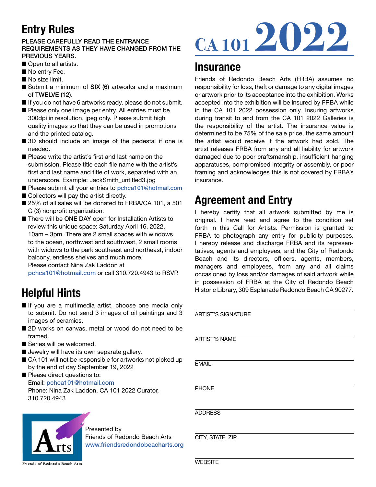# **Entry Rules**

#### PLEASE CAREFULLY READ THE ENTRANCE REQUIREMENTS AS THEY HAVE CHANGED FROM THE PREVIOUS YEARS.

- Open to all artists.
- No entry Fee.
- $\blacksquare$  No size limit.
- Submit a minimum of SIX (6) artworks and a maximum of TWELVE (12).
- $\blacksquare$  If you do not have 6 artworks ready, please do not submit.
- Please only one image per entry. All entries must be 300dpi in resolution, jpeg only. Please submit high quality images so that they can be used in promotions and the printed catalog.
- 3D should include an image of the pedestal if one is needed.
- $\blacksquare$  Please write the artist's first and last name on the submission. Please title each file name with the artist's first and last name and title of work, separated with an underscore. Example: JackSmith\_untitled3.jpg
- Please submit all your entries to [pchca101@hotmail.com](mailto:pchca101@hotmail.com)
- $\blacksquare$  Collectors will pay the artist directly.
- 25% of all sales will be donated to FRBA/CA 101, a 501 C (3) nonprofit organization.
- There will be ONE DAY open for Installation Artists to review this unique space: Saturday April 16, 2022, 10am – 3pm. There are 2 small spaces with windows to the ocean, northwest and southwest, 2 small rooms with widows to the park southeast and northeast, indoor balcony, endless shelves and much more.

Please contact Nina Zak Laddon at

[pchca101@hotmail.com](mailto:pchca101@hotmail.com) or call 310.720.4943 to RSVP.

# **Helpful Hints**

- If you are a multimedia artist, choose one media only to submit. Do not send 3 images of oil paintings and 3 images of ceramics.
- 2D works on canvas, metal or wood do not need to be framed.
- Series will be welcomed.
- $\blacksquare$  Jewelry will have its own separate gallery.
- CA 101 will not be responsible for artworks not picked up by the end of day September 19, 2022

Please direct questions to: Email: [pchca101@hotmail.com](mailto:pchca101@hotmail.com) Phone: Nina Zak Laddon, CA 101 2022 Curator, 310.720.4943



#### Presented by Friends of Redondo Beach Arts [www.friendsredondobeacharts.org](http://www.friendsredondobeacharts.org)

Friends of Redondo Beach Arts

# **CA 101 2022**

## **Insurance**

Friends of Redondo Beach Arts (FRBA) assumes no responsibility for loss, theft or damage to any digital images or artwork prior to its acceptance into the exhibition. Works accepted into the exhibition will be insured by FRBA while in the CA 101 2022 possession only. Insuring artworks during transit to and from the CA 101 2022 Galleries is the responsibility of the artist. The insurance value is determined to be 75% of the sale price, the same amount the artist would receive if the artwork had sold. The artist releases FRBA from any and all liability for artwork damaged due to poor craftsmanship, insufficient hanging apparatuses, compromised integrity or assembly, or poor framing and acknowledges this is not covered by FRBA's insurance.

## **Agreement and Entry**

I hereby certify that all artwork submitted by me is original. I have read and agree to the condition set forth in this Call for Artists. Permission is granted to FRBA to photograph any entry for publicity purposes. I hereby release and discharge FRBA and its representatives, agents and employees, and the City of Redondo Beach and its directors, officers, agents, members, managers and employees, from any and all claims occasioned by loss and/or damages of said artwork while in possession of FRBA at the City of Redondo Beach Historic Library, 309 Esplanade Redondo Beach CA 90277.

| <b>ARTIST'S SIGNATURE</b> |
|---------------------------|
| <b>ARTIST'S NAME</b>      |
| <b>EMAIL</b>              |
| <b>PHONE</b>              |
| <b>ADDRESS</b>            |
| CITY, STATE, ZIP          |
| <b>WFBSITF</b>            |